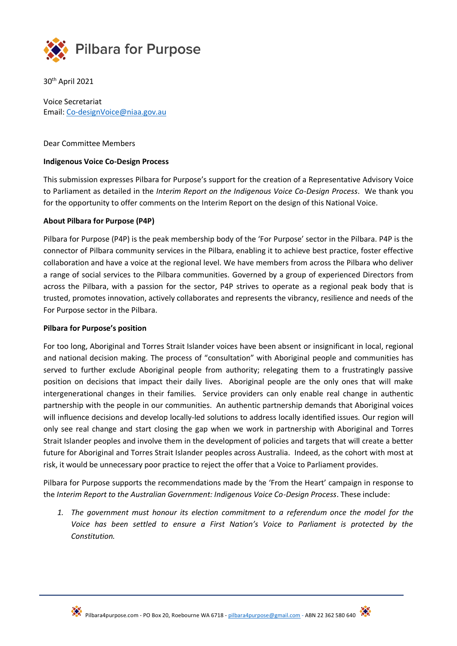

30th April 2021

Voice Secretariat Email[: Co-designVoice@niaa.gov.au](mailto:Co-designVoice@niaa.gov.au)

### Dear Committee Members

## **Indigenous Voice Co-Design Process**

This submission expresses Pilbara for Purpose's support for the creation of a Representative Advisory Voice to Parliament as detailed in the *Interim Report on the Indigenous Voice Co-Design Process*. We thank you for the opportunity to offer comments on the Interim Report on the design of this National Voice.

#### **About Pilbara for Purpose (P4P)**

Pilbara for Purpose (P4P) is the peak membership body of the 'For Purpose' sector in the Pilbara. P4P is the connector of Pilbara community services in the Pilbara, enabling it to achieve best practice, foster effective collaboration and have a voice at the regional level. We have members from across the Pilbara who deliver a range of social services to the Pilbara communities. Governed by a group of experienced Directors from across the Pilbara, with a passion for the sector, P4P strives to operate as a regional peak body that is trusted, promotes innovation, actively collaborates and represents the vibrancy, resilience and needs of the For Purpose sector in the Pilbara.

#### **Pilbara for Purpose's position**

For too long, Aboriginal and Torres Strait Islander voices have been absent or insignificant in local, regional and national decision making. The process of "consultation" with Aboriginal people and communities has served to further exclude Aboriginal people from authority; relegating them to a frustratingly passive position on decisions that impact their daily lives. Aboriginal people are the only ones that will make intergenerational changes in their families. Service providers can only enable real change in authentic partnership with the people in our communities. An authentic partnership demands that Aboriginal voices will influence decisions and develop locally-led solutions to address locally identified issues. Our region will only see real change and start closing the gap when we work in partnership with Aboriginal and Torres Strait Islander peoples and involve them in the development of policies and targets that will create a better future for Aboriginal and Torres Strait Islander peoples across Australia. Indeed, as the cohort with most at risk, it would be unnecessary poor practice to reject the offer that a Voice to Parliament provides.

Pilbara for Purpose supports the recommendations made by the 'From the Heart' campaign in response to the *Interim Report to the Australian Government: Indigenous Voice Co-Design Process*. These include:

*1. The government must honour its election commitment to a referendum once the model for the Voice has been settled to ensure a First Nation's Voice to Parliament is protected by the Constitution.*

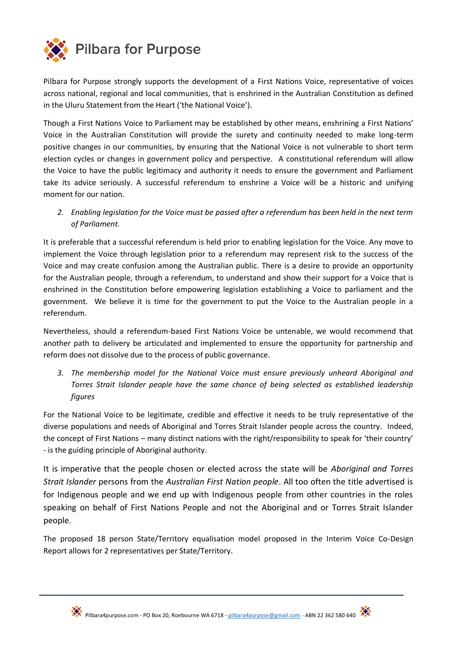

Pilbara for Purpose strongly supports the development of a First Nations Voice, representative of voices across national, regional and local communities, that is enshrined in the Australian Constitution as defined in the Uluru Statement from the Heart ('the National Voice').

Though a First Nations Voice to Parliament may be established by other means, enshrining a First Nations' Voice in the Australian Constitution will provide the surety and continuity needed to make long-term positive changes in our communities, by ensuring that the National Voice is not vulnerable to short term election cycles or changes in government policy and perspective. A constitutional referendum will allow the Voice to have the public legitimacy and authority it needs to ensure the government and Parliament take its advice seriously. A successful referendum to enshrine a Voice will be a historic and unifying moment for our nation.

*2. Enabling legislation for the Voice must be passed after a referendum has been held in the next term of Parliament.*

It is preferable that a successful referendum is held prior to enabling legislation for the Voice. Any move to implement the Voice through legislation prior to a referendum may represent risk to the success of the Voice and may create confusion among the Australian public. There is a desire to provide an opportunity for the Australian people, through a referendum, to understand and show their support for a Voice that is enshrined in the Constitution before empowering legislation establishing a Voice to parliament and the government. We believe it is time for the government to put the Voice to the Australian people in a referendum.

Nevertheless, should a referendum-based First Nations Voice be untenable, we would recommend that another path to delivery be articulated and implemented to ensure the opportunity for partnership and reform does not dissolve due to the process of public governance.

*3. The membership model for the National Voice must ensure previously unheard Aboriginal and Torres Strait Islander people have the same chance of being selected as established leadership figures*

For the National Voice to be legitimate, credible and effective it needs to be truly representative of the diverse populations and needs of Aboriginal and Torres Strait Islander people across the country. Indeed, the concept of First Nations – many distinct nations with the right/responsibility to speak for 'their country' - is the guiding principle of Aboriginal authority.

It is imperative that the people chosen or elected across the state will be *Aboriginal and Torres Strait Islander* persons from the *Australian First Nation people*. All too often the title advertised is for Indigenous people and we end up with Indigenous people from other countries in the roles speaking on behalf of First Nations People and not the Aboriginal and or Torres Strait Islander people.

The proposed 18 person State/Territory equalisation model proposed in the Interim Voice Co-Design Report allows for 2 representatives per State/Territory.

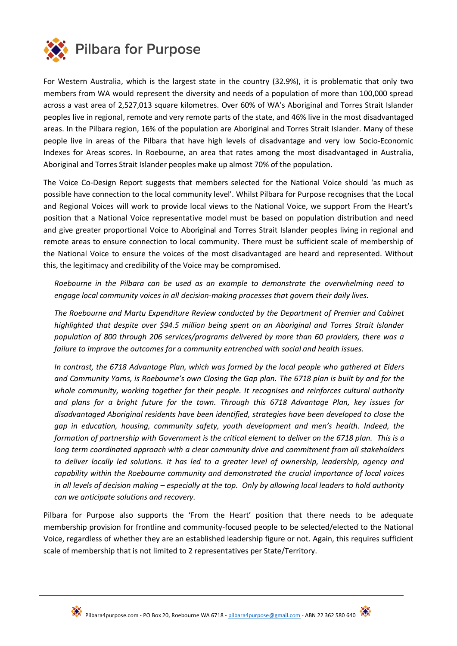

For Western Australia, which is the largest state in the country (32.9%), it is problematic that only two members from WA would represent the diversity and needs of a population of more than 100,000 spread across a vast area of 2,527,013 square kilometres. Over 60% of WA's Aboriginal and Torres Strait Islander peoples live in regional, remote and very remote parts of the state, and 46% live in the most disadvantaged areas. In the Pilbara region, 16% of the population are Aboriginal and Torres Strait Islander. Many of these people live in areas of the Pilbara that have high levels of disadvantage and very low Socio-Economic Indexes for Areas scores. In Roebourne, an area that rates among the most disadvantaged in Australia, Aboriginal and Torres Strait Islander peoples make up almost 70% of the population.

The Voice Co-Design Report suggests that members selected for the National Voice should 'as much as possible have connection to the local community level'. Whilst Pilbara for Purpose recognises that the Local and Regional Voices will work to provide local views to the National Voice, we support From the Heart's position that a National Voice representative model must be based on population distribution and need and give greater proportional Voice to Aboriginal and Torres Strait Islander peoples living in regional and remote areas to ensure connection to local community. There must be sufficient scale of membership of the National Voice to ensure the voices of the most disadvantaged are heard and represented. Without this, the legitimacy and credibility of the Voice may be compromised.

*Roebourne in the Pilbara can be used as an example to demonstrate the overwhelming need to engage local community voices in all decision-making processes that govern their daily lives.* 

*The Roebourne and Martu Expenditure Review conducted by the Department of Premier and Cabinet highlighted that despite over \$94.5 million being spent on an Aboriginal and Torres Strait Islander population of 800 through 206 services/programs delivered by more than 60 providers, there was a failure to improve the outcomes for a community entrenched with social and health issues.* 

*In contrast, the 6718 Advantage Plan, which was formed by the local people who gathered at Elders and Community Yarns, is Roebourne's own Closing the Gap plan. The 6718 plan is built by and for the whole community, working together for their people. It recognises and reinforces cultural authority and plans for a bright future for the town. Through this 6718 Advantage Plan, key issues for disadvantaged Aboriginal residents have been identified, strategies have been developed to close the gap in education, housing, community safety, youth development and men's health. Indeed, the formation of partnership with Government is the critical element to deliver on the 6718 plan. This is a long term coordinated approach with a clear community drive and commitment from all stakeholders to deliver locally led solutions. It has led to a greater level of ownership, leadership, agency and capability within the Roebourne community and demonstrated the crucial importance of local voices in all levels of decision making – especially at the top. Only by allowing local leaders to hold authority can we anticipate solutions and recovery.* 

Pilbara for Purpose also supports the 'From the Heart' position that there needs to be adequate membership provision for frontline and community-focused people to be selected/elected to the National Voice, regardless of whether they are an established leadership figure or not. Again, this requires sufficient scale of membership that is not limited to 2 representatives per State/Territory.